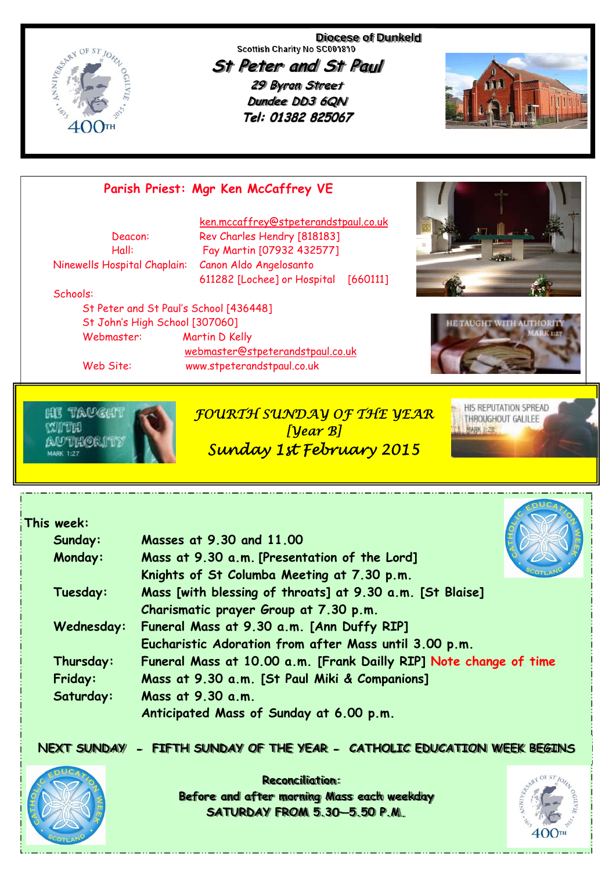

**Diocese of Dunkeld Scottish Charity No SC001810** 

**St Peter and St Paul 29 Byron Street Dundee DD3 6QN** Tel: 01382 825067



# **Parish Priest: Mgr Ken McCaffrey VE**

Ninewells Hospital Chaplain: Canon Aldo Angelosanto

 ken.mccaffrey@stpeterandstpaul.co.uk Deacon: Rev Charles Hendry [818183] Hall: Fay Martin [07932 432577] 611282 [Lochee] or Hospital [660111]

#### Schools:

 St Peter and St Paul's School [436448] St John's High School [307060] Webmaster: Martin D Kelly webmaster@stpeterandstpaul.co.uk Web Site: www.stpeterandstpaul.co.uk



*FOURTH SUNDAY OF THE YEAR [Year B]* 





HIS REPUTATION SPREAD

THROUGHOUT GALILEE

**MARK 1-28** 



*Sunday 1st February 2015* 



#### **This week:**

| Sunday:    | Masses at 9.30 and 11.00                                          |  |  |
|------------|-------------------------------------------------------------------|--|--|
| Monday:    | Mass at 9.30 a.m. [Presentation of the Lord]                      |  |  |
|            | Knights of St Columba Meeting at 7.30 p.m.                        |  |  |
| Tuesday:   | Mass [with blessing of throats] at 9.30 a.m. [St Blaise]          |  |  |
|            | Charismatic prayer Group at 7.30 p.m.                             |  |  |
| Wednesday: | Funeral Mass at 9.30 a.m. [Ann Duffy RIP]                         |  |  |
|            | Eucharistic Adoration from after Mass until 3.00 p.m.             |  |  |
| Thursday:  | Funeral Mass at 10.00 a.m. [Frank Dailly RIP] Note change of time |  |  |
| Friday:    | Mass at 9.30 a.m. [St Paul Miki & Companions]                     |  |  |
| Saturday:  | Mass at 9.30 a.m.                                                 |  |  |
|            | Anticipated Mass of Sunday at 6.00 p.m.                           |  |  |

#### **NEXT SUNDAY - FIFTH SUNDAY OF THE YEAR - CATHOLIC EDUCATION WEEK BEGINS**



**Reconciliation: Before and after morning Mass each weekday SATURDAY FROM 5.30—5.50 P.M.**

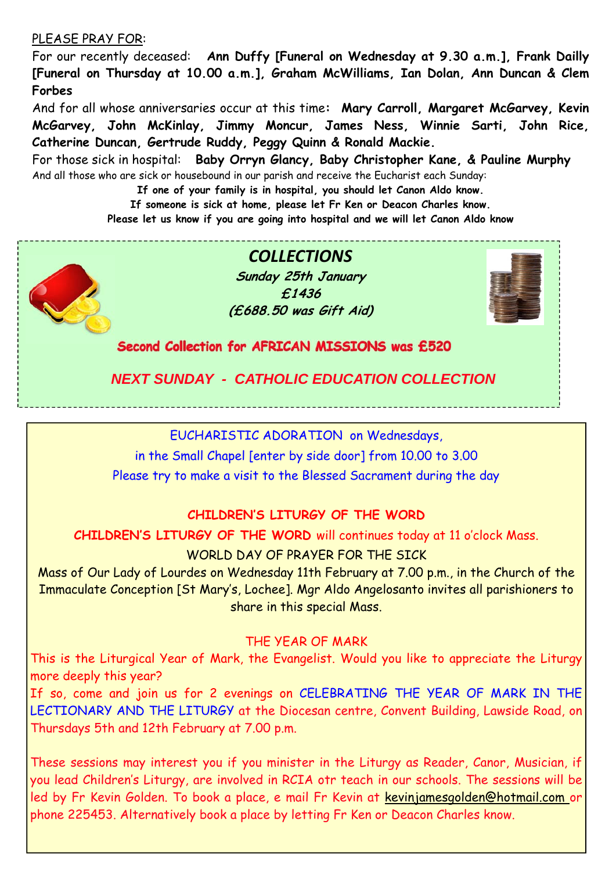#### PLEASE PRAY FOR:

For our recently deceased: **Ann Duffy [Funeral on Wednesday at 9.30 a.m.], Frank Dailly [Funeral on Thursday at 10.00 a.m.], Graham McWilliams, Ian Dolan, Ann Duncan & Clem Forbes** 

And for all whose anniversaries occur at this time**: Mary Carroll, Margaret McGarvey, Kevin McGarvey, John McKinlay, Jimmy Moncur, James Ness, Winnie Sarti, John Rice, Catherine Duncan, Gertrude Ruddy, Peggy Quinn & Ronald Mackie.** 

For those sick in hospital: **Baby Orryn Glancy, Baby Christopher Kane, & Pauline Murphy**  And all those who are sick or housebound in our parish and receive the Eucharist each Sunday:

**If one of your family is in hospital, you should let Canon Aldo know.** 

**If someone is sick at home, please let Fr Ken or Deacon Charles know.** 

**Please let us know if you are going into hospital and we will let Canon Aldo know** 



*COLLECTIONS* **Sunday 25th January £1436 (£688.50 was Gift Aid)** 



Second Collection for AFRICAN MISSIONS was £520

 *NEXT SUNDAY - CATHOLIC EDUCATION COLLECTION* 

EUCHARISTIC ADORATION on Wednesdays,

in the Small Chapel [enter by side door] from 10.00 to 3.00 Please try to make a visit to the Blessed Sacrament during the day

### **CHILDREN'S LITURGY OF THE WORD**

**CHILDREN'S LITURGY OF THE WORD** will continues today at 11 o'clock Mass.

WORLD DAY OF PRAYER FOR THE STCK

Mass of Our Lady of Lourdes on Wednesday 11th February at 7.00 p.m., in the Church of the Immaculate Conception [St Mary's, Lochee]. Mgr Aldo Angelosanto invites all parishioners to share in this special Mass.

### THE YEAR OF MARK

This is the Liturgical Year of Mark, the Evangelist. Would you like to appreciate the Liturgy more deeply this year?

If so, come and join us for 2 evenings on CELEBRATING THE YEAR OF MARK IN THE LECTIONARY AND THE LITURGY at the Diocesan centre, Convent Building, Lawside Road, on Thursdays 5th and 12th February at 7.00 p.m.

These sessions may interest you if you minister in the Liturgy as Reader, Canor, Musician, if you lead Children's Liturgy, are involved in RCIA otr teach in our schools. The sessions will be led by Fr Kevin Golden. To book a place, e mail Fr Kevin at kevinjamesgolden@hotmail.com or phone 225453. Alternatively book a place by letting Fr Ken or Deacon Charles know.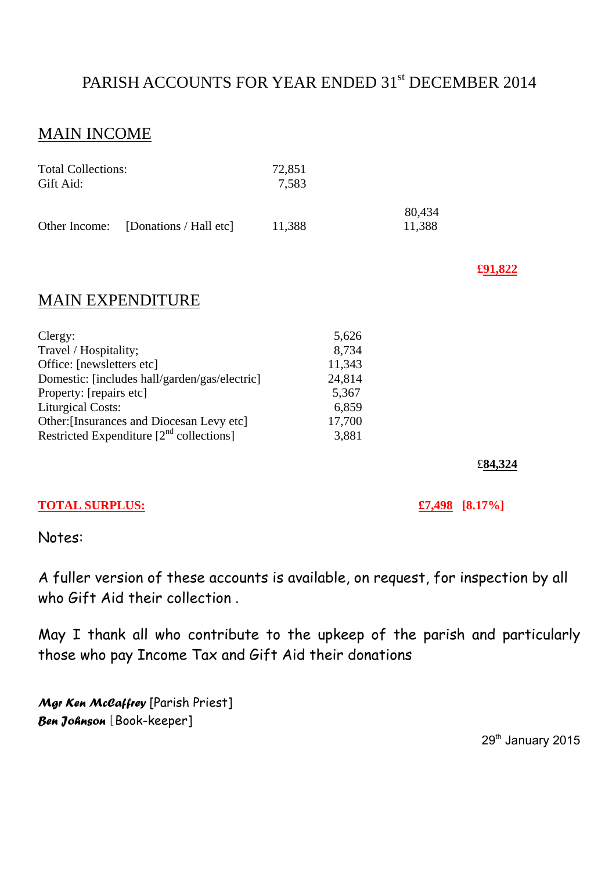# PARISH ACCOUNTS FOR YEAR ENDED 31<sup>st</sup> DECEMBER 2014

# MAIN INCOME

| <b>Total Collections:</b><br>Gift Aid: |                                      | 72,851<br>7.583 |                  |
|----------------------------------------|--------------------------------------|-----------------|------------------|
|                                        | Other Income: [Donations / Hall etc] | 11,388          | 80,434<br>11,388 |

**£91,822**

## MAIN EXPENDITURE

| 5,626  |
|--------|
| 8,734  |
| 11,343 |
| 24,814 |
| 5,367  |
| 6,859  |
| 17,700 |
| 3,881  |
|        |

£**84,324** 

#### **TOTAL SURPLUS: £7,498 [8.17%]**

Notes:

A fuller version of these accounts is available, on request, for inspection by all who Gift Aid their collection.

May I thank all who contribute to the upkeep of the parish and particularly those who pay Income Tax and Gift Aid their donations

*Mgr Ken McCaffrey* [Parish Priest] *Ben Johnson* [Book-keeper]

29<sup>th</sup> January 2015